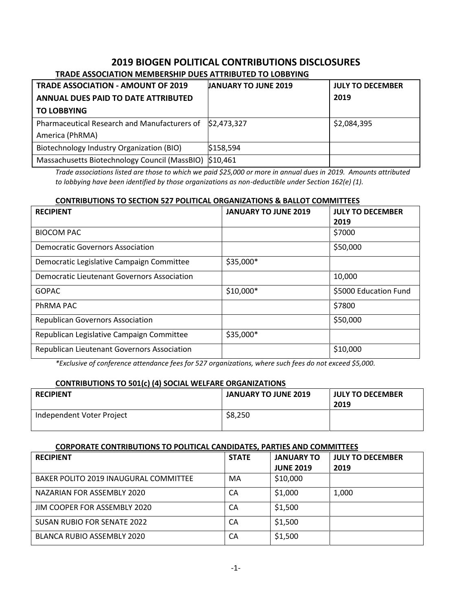## **2019 BIOGEN POLITICAL CONTRIBUTIONS DISCLOSURES TRADE ASSOCIATION MEMBERSHIP DUES ATTRIBUTED TO LOBBYING**

| <b>TRADE ASSOCIATION - AMOUNT OF 2019</b>     | <b>JANUARY TO JUNE 2019</b> | <b>JULY TO DECEMBER</b> |  |  |
|-----------------------------------------------|-----------------------------|-------------------------|--|--|
| <b>ANNUAL DUES PAID TO DATE ATTRIBUTED</b>    |                             | 2019                    |  |  |
| <b>TO LOBBYING</b>                            |                             |                         |  |  |
| Pharmaceutical Research and Manufacturers of  | \$2,473,327                 | \$2,084,395             |  |  |
| America (PhRMA)                               |                             |                         |  |  |
| Biotechnology Industry Organization (BIO)     | \$158,594                   |                         |  |  |
| Massachusetts Biotechnology Council (MassBIO) | \$10,461                    |                         |  |  |

*Trade associations listed are those to which we paid \$25,000 or more in annual dues in 2019. Amounts attributed to lobbying have been identified by those organizations as non-deductible under Section 162(e) (1).*

## **CONTRIBUTIONS TO SECTION 527 POLITICAL ORGANIZATIONS & BALLOT COMMITTEES**

| <b>RECIPIENT</b>                            | <b>JANUARY TO JUNE 2019</b> | <b>JULY TO DECEMBER</b> |
|---------------------------------------------|-----------------------------|-------------------------|
|                                             |                             | 2019                    |
| <b>BIOCOM PAC</b>                           |                             | \$7000                  |
| <b>Democratic Governors Association</b>     |                             | \$50,000                |
| Democratic Legislative Campaign Committee   | \$35,000*                   |                         |
| Democratic Lieutenant Governors Association |                             | 10,000                  |
| <b>GOPAC</b>                                | $$10,000*$                  | \$5000 Education Fund   |
| PhRMA PAC                                   |                             | \$7800                  |
| <b>Republican Governors Association</b>     |                             | \$50,000                |
| Republican Legislative Campaign Committee   | \$35,000*                   |                         |
| Republican Lieutenant Governors Association |                             | \$10,000                |

*\*Exclusive of conference attendance fees for 527 organizations, where such fees do not exceed \$5,000.*

## **CONTRIBUTIONS TO 501(c) (4) SOCIAL WELFARE ORGANIZATIONS**

| <b>RECIPIENT</b>          | <b>JANUARY TO JUNE 2019</b> | <b>JULY TO DECEMBER</b><br>2019 |
|---------------------------|-----------------------------|---------------------------------|
| Independent Voter Project | \$8,250                     |                                 |

## **CORPORATE CONTRIBUTIONS TO POLITICAL CANDIDATES, PARTIES AND COMMITTEES**

| <b>RECIPIENT</b>                      | <b>STATE</b> | <b>JANUARY TO</b> | <b>JULY TO DECEMBER</b> |
|---------------------------------------|--------------|-------------------|-------------------------|
|                                       |              | <b>JUNE 2019</b>  | 2019                    |
| BAKER POLITO 2019 INAUGURAL COMMITTEE | MA           | \$10,000          |                         |
| NAZARIAN FOR ASSEMBLY 2020            | СA           | \$1,000           | 1,000                   |
| JIM COOPER FOR ASSEMBLY 2020          | СA           | \$1,500           |                         |
| <b>SUSAN RUBIO FOR SENATE 2022</b>    | СA           | \$1,500           |                         |
| <b>BLANCA RUBIO ASSEMBLY 2020</b>     | CA           | \$1,500           |                         |